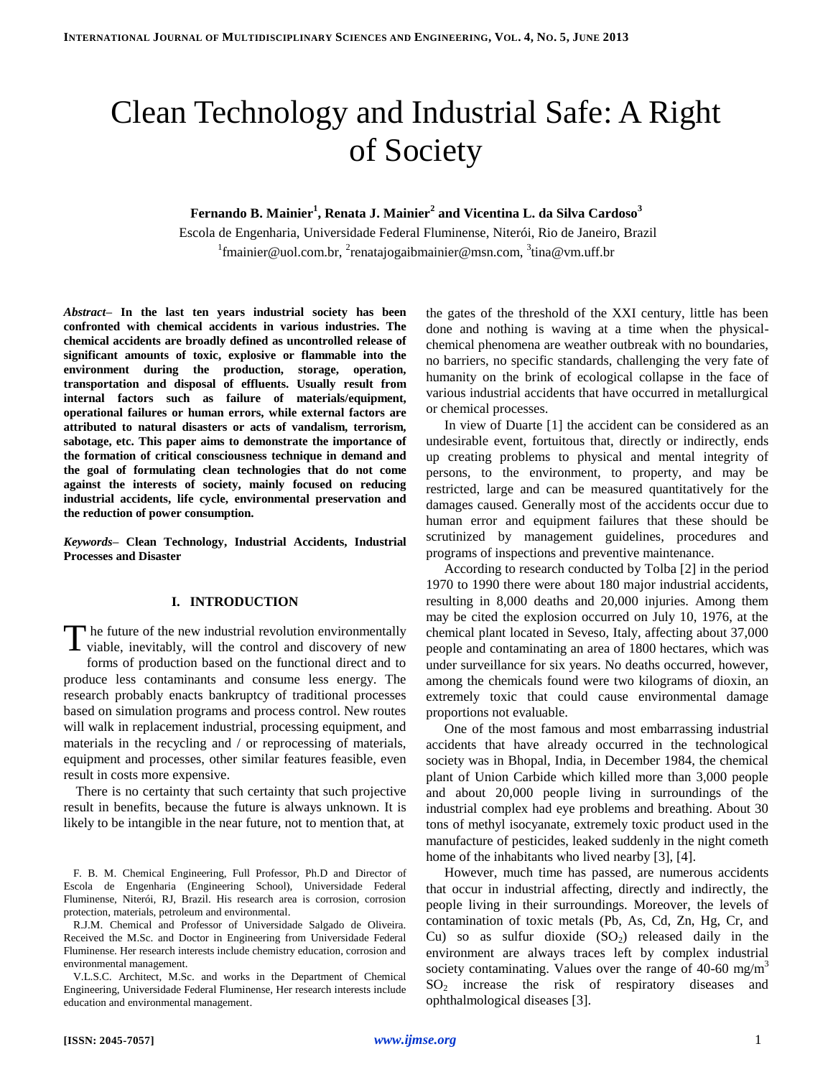# Clean Technology and Industrial Safe: A Right of Society

# **Fernando B. Mainier<sup>1</sup> , Renata J. Mainier<sup>2</sup> and Vicentina L. da Silva Cardoso<sup>3</sup>**

Escola de Engenharia, Universidade Federal Fluminense, Niterói, Rio de Janeiro, Brazil <sup>1</sup>fmainier@uol.com.br, <sup>2</sup>renatajogaibmainier@msn.com, <sup>3</sup>tina@vm.uff.br

*Abstract***– In the last ten years industrial society has been confronted with chemical accidents in various industries. The chemical accidents are broadly defined as uncontrolled release of significant amounts of toxic, explosive or flammable into the environment during the production, storage, operation, transportation and disposal of effluents. Usually result from internal factors such as failure of materials/equipment, operational failures or human errors, while external factors are attributed to natural disasters or acts of vandalism, terrorism, sabotage, etc. This paper aims to demonstrate the importance of the formation of critical consciousness technique in demand and the goal of formulating clean technologies that do not come against the interests of society, mainly focused on reducing industrial accidents, life cycle, environmental preservation and the reduction of power consumption.**

*Keywords–* **Clean Technology, Industrial Accidents, Industrial Processes and Disaster**

## **I. INTRODUCTION**

The future of the new industrial revolution environmentally viable, inevitably, will the control and discovery of new viable, inevitably, will the control and discovery of new forms of production based on the functional direct and to produce less contaminants and consume less energy. The research probably enacts bankruptcy of traditional processes based on simulation programs and process control. New routes will walk in replacement industrial, processing equipment, and materials in the recycling and / or reprocessing of materials, equipment and processes, other similar features feasible, even result in costs more expensive.

There is no certainty that such certainty that such projective result in benefits, because the future is always unknown. It is likely to be intangible in the near future, not to mention that, at

the gates of the threshold of the XXI century, little has been done and nothing is waving at a time when the physicalchemical phenomena are weather outbreak with no boundaries, no barriers, no specific standards, challenging the very fate of humanity on the brink of ecological collapse in the face of various industrial accidents that have occurred in metallurgical or chemical processes.

In view of Duarte [1] the accident can be considered as an undesirable event, fortuitous that, directly or indirectly, ends up creating problems to physical and mental integrity of persons, to the environment, to property, and may be restricted, large and can be measured quantitatively for the damages caused. Generally most of the accidents occur due to human error and equipment failures that these should be scrutinized by management guidelines, procedures and programs of inspections and preventive maintenance.

According to research conducted by Tolba [2] in the period 1970 to 1990 there were about 180 major industrial accidents, resulting in 8,000 deaths and 20,000 injuries. Among them may be cited the explosion occurred on July 10, 1976, at the chemical plant located in Seveso, Italy, affecting about 37,000 people and contaminating an area of 1800 hectares, which was under surveillance for six years. No deaths occurred, however, among the chemicals found were two kilograms of dioxin, an extremely toxic that could cause environmental damage proportions not evaluable.

One of the most famous and most embarrassing industrial accidents that have already occurred in the technological society was in Bhopal, India, in December 1984, the chemical plant of Union Carbide which killed more than 3,000 people and about 20,000 people living in surroundings of the industrial complex had eye problems and breathing. About 30 tons of methyl isocyanate, extremely toxic product used in the manufacture of pesticides, leaked suddenly in the night cometh home of the inhabitants who lived nearby [3], [4].

However, much time has passed, are numerous accidents that occur in industrial affecting, directly and indirectly, the people living in their surroundings. Moreover, the levels of contamination of toxic metals (Pb, As, Cd, Zn, Hg, Cr, and Cu) so as sulfur dioxide  $(SO<sub>2</sub>)$  released daily in the environment are always traces left by complex industrial society contaminating. Values over the range of  $40-60$  mg/m<sup>3</sup> SO<sup>2</sup> increase the risk of respiratory diseases and ophthalmological diseases [3].

F. B. M. Chemical Engineering, Full Professor, Ph.D and Director of Escola de Engenharia (Engineering School), Universidade Federal Fluminense, Niterói, RJ, Brazil. His research area is corrosion, corrosion protection, materials, petroleum and environmental.

R.J.M. Chemical and Professor of Universidade Salgado de Oliveira. Received the M.Sc. and Doctor in Engineering from Universidade Federal Fluminense. Her research interests include chemistry education, corrosion and environmental management.

V.L.S.C. Architect, M.Sc. and works in the Department of Chemical Engineering, Universidade Federal Fluminense, Her research interests include education and environmental management.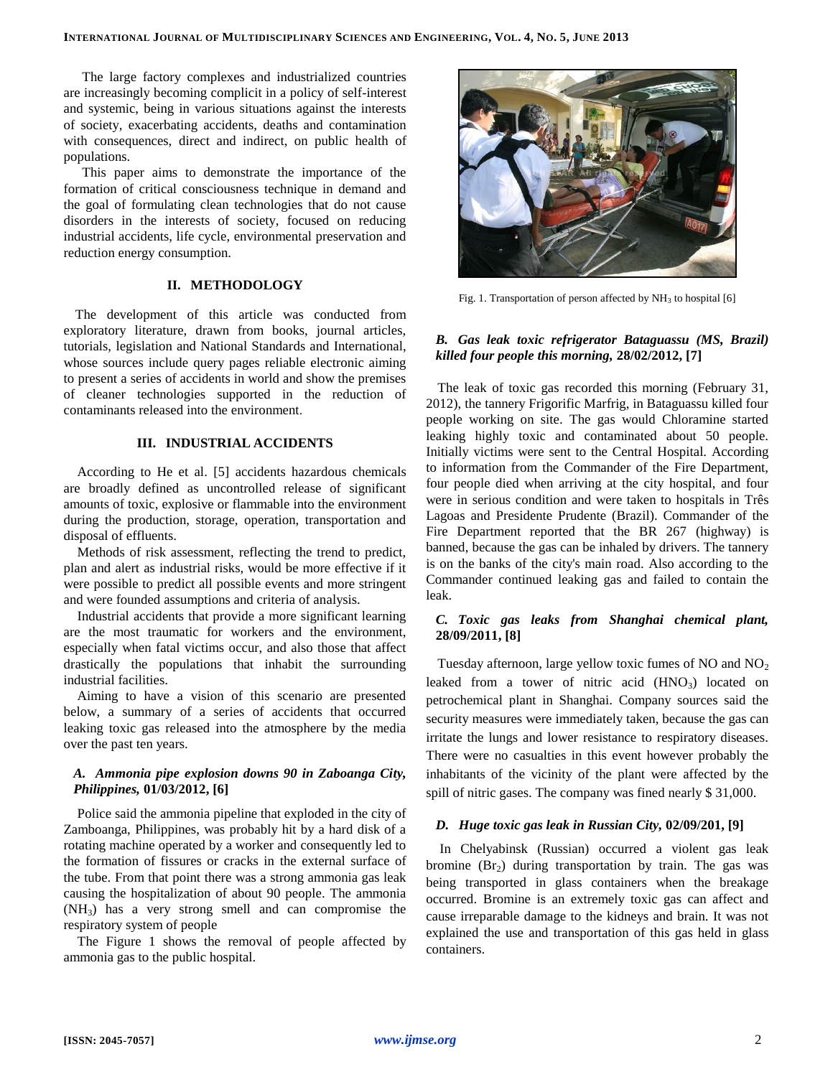The large factory complexes and industrialized countries are increasingly becoming complicit in a policy of self-interest and systemic, being in various situations against the interests of society, exacerbating accidents, deaths and contamination with consequences, direct and indirect, on public health of populations.

This paper aims to demonstrate the importance of the formation of critical consciousness technique in demand and the goal of formulating clean technologies that do not cause disorders in the interests of society, focused on reducing industrial accidents, life cycle, environmental preservation and reduction energy consumption.

# **II. METHODOLOGY**

The development of this article was conducted from exploratory literature, drawn from books, journal articles, tutorials, legislation and National Standards and International, whose sources include query pages reliable electronic aiming to present a series of accidents in world and show the premises of cleaner technologies supported in the reduction of contaminants released into the environment.

# **III. INDUSTRIAL ACCIDENTS**

According to He et al. [5] accidents hazardous chemicals are broadly defined as uncontrolled release of significant amounts of toxic, explosive or flammable into the environment during the production, storage, operation, transportation and disposal of effluents.

Methods of risk assessment, reflecting the trend to predict, plan and alert as industrial risks, would be more effective if it were possible to predict all possible events and more stringent and were founded assumptions and criteria of analysis.

Industrial accidents that provide a more significant learning are the most traumatic for workers and the environment, especially when fatal victims occur, and also those that affect drastically the populations that inhabit the surrounding industrial facilities.

Aiming to have a vision of this scenario are presented below, a summary of a series of accidents that occurred leaking toxic gas released into the atmosphere by the media over the past ten years.

# *A. Ammonia pipe explosion downs 90 in Zaboanga City, Philippines,* **01/03/2012, [6]**

Police said the ammonia pipeline that exploded in the city of Zamboanga, Philippines, was probably hit by a hard disk of a rotating machine operated by a worker and consequently led to the formation of fissures or cracks in the external surface of the tube. From that point there was a strong ammonia gas leak causing the hospitalization of about 90 people. The ammonia (NH3) has a very strong smell and can compromise the respiratory system of people

The Figure 1 shows the removal of people affected by ammonia gas to the public hospital.



Fig. 1. Transportation of person affected by NH<sub>3</sub> to hospital [6]

# *B. Gas leak toxic refrigerator Bataguassu (MS, Brazil) killed four people this morning,* **28/02/2012, [7]**

The leak of toxic gas recorded this morning (February 31, 2012), the tannery Frigorific Marfrig, in Bataguassu killed four people working on site. The gas would Chloramine started leaking highly toxic and contaminated about 50 people. Initially victims were sent to the Central Hospital. According to information from the Commander of the Fire Department, four people died when arriving at the city hospital, and four were in serious condition and were taken to hospitals in Três Lagoas and Presidente Prudente (Brazil). Commander of the Fire Department reported that the BR 267 (highway) is banned, because the gas can be inhaled by drivers. The tannery is on the banks of the city's main road. Also according to the Commander continued leaking gas and failed to contain the leak.

# *C. Toxic gas leaks from Shanghai chemical plant,*  **28/09/2011, [8]**

Tuesday afternoon, large yellow toxic fumes of NO and  $NO<sub>2</sub>$ leaked from a tower of nitric acid  $(HNO<sub>3</sub>)$  located on petrochemical plant in Shanghai. Company sources said the security measures were immediately taken, because the gas can irritate the lungs and lower resistance to respiratory diseases. There were no casualties in this event however probably the inhabitants of the vicinity of the plant were affected by the spill of nitric gases. The company was fined nearly \$ 31,000.

## *D. Huge toxic gas leak in Russian City,* **02/09/201, [9]**

In Chelyabinsk (Russian) occurred a violent gas leak bromine  $(Br_2)$  during transportation by train. The gas was being transported in glass containers when the breakage occurred. Bromine is an extremely toxic gas can affect and cause irreparable damage to the kidneys and brain. It was not explained the use and transportation of this gas held in glass containers.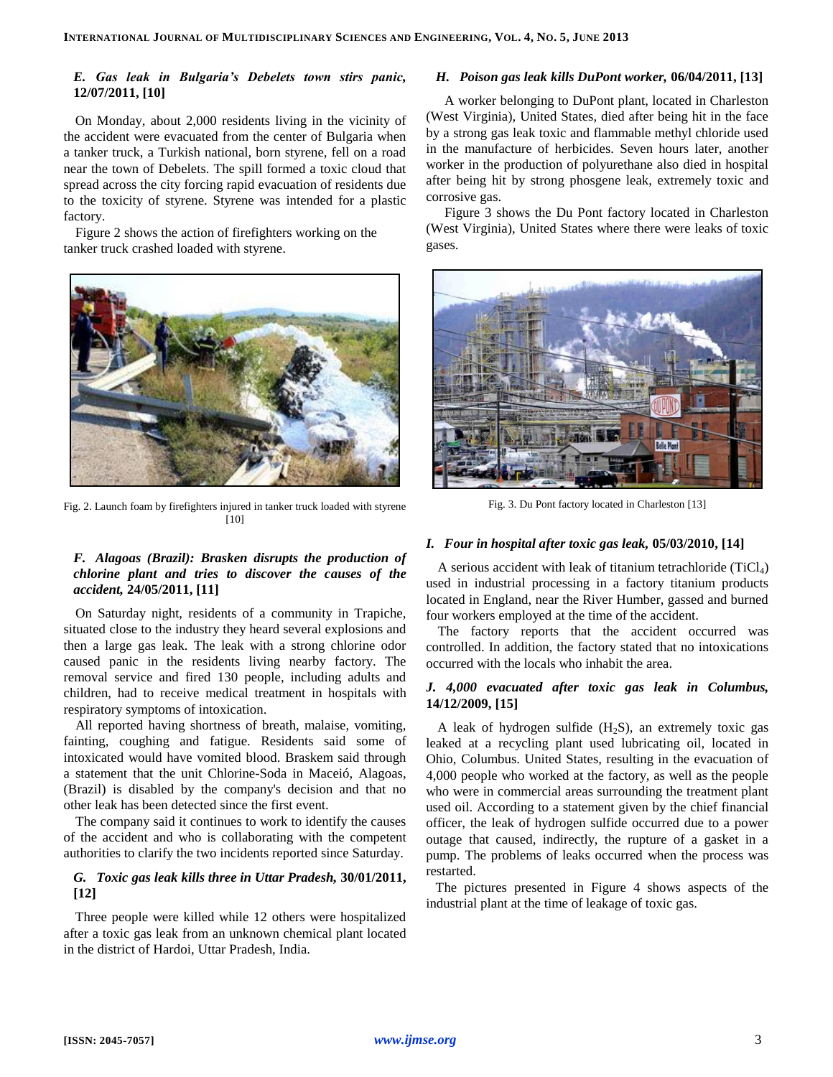# *E. Gas leak in Bulgaria's Debelets town stirs panic,*  **12/07/2011, [10]**

On Monday, about 2,000 residents living in the vicinity of the accident were evacuated from the center of Bulgaria when a tanker truck, a Turkish national, born styrene, fell on a road near the town of Debelets. The spill formed a toxic cloud that spread across the city forcing rapid evacuation of residents due to the toxicity of styrene. Styrene was intended for a plastic factory.

Figure 2 shows the action of firefighters working on the tanker truck crashed loaded with styrene.



Fig. 2. Launch foam by firefighters injured in tanker truck loaded with styrene [10]

# *F. Alagoas (Brazil): Brasken disrupts the production of chlorine plant and tries to discover the causes of the accident,* **24/05/2011, [11]**

On Saturday night, residents of a community in Trapiche, situated close to the industry they heard several explosions and then a large gas leak. The leak with a strong chlorine odor caused panic in the residents living nearby factory. The removal service and fired 130 people, including adults and children, had to receive medical treatment in hospitals with respiratory symptoms of intoxication.

All reported having shortness of breath, malaise, vomiting, fainting, coughing and fatigue. Residents said some of intoxicated would have vomited blood. Braskem said through a statement that the unit Chlorine-Soda in Maceió, Alagoas, (Brazil) is disabled by the company's decision and that no other leak has been detected since the first event.

The company said it continues to work to identify the causes of the accident and who is collaborating with the competent authorities to clarify the two incidents reported since Saturday.

# *G. Toxic gas leak kills three in Uttar Pradesh,* **30/01/2011, [12]**

Three people were killed while 12 others were hospitalized after a toxic gas leak from an unknown chemical plant located in the district of Hardoi, Uttar Pradesh, India.

# *H. Poison gas leak kills DuPont worker,* **06/04/2011, [13]**

A worker belonging to DuPont plant, located in Charleston (West Virginia), United States, died after being hit in the face by a strong gas leak toxic and flammable methyl chloride used in the manufacture of herbicides. Seven hours later, another worker in the production of polyurethane also died in hospital after being hit by strong phosgene leak, extremely toxic and corrosive gas.

Figure 3 shows the Du Pont factory located in Charleston (West Virginia), United States where there were leaks of toxic gases.



Fig. 3. Du Pont factory located in Charleston [13]

### *I. Four in hospital after toxic gas leak,* **05/03/2010, [14]**

A serious accident with leak of titanium tetrachloride  $(TiCl<sub>4</sub>)$ used in industrial processing in a factory titanium products located in England, near the River Humber, gassed and burned four workers employed at the time of the accident.

The factory reports that the accident occurred was controlled. In addition, the factory stated that no intoxications occurred with the locals who inhabit the area.

# *J. 4,000 evacuated after toxic gas leak in Columbus,*  **14/12/2009, [15]**

A leak of hydrogen sulfide  $(H_2S)$ , an extremely toxic gas leaked at a recycling plant used lubricating oil, located in Ohio, Columbus. United States, resulting in the evacuation of 4,000 people who worked at the factory, as well as the people who were in commercial areas surrounding the treatment plant used oil. According to a statement given by the chief financial officer, the leak of hydrogen sulfide occurred due to a power outage that caused, indirectly, the rupture of a gasket in a pump. The problems of leaks occurred when the process was restarted.

The pictures presented in Figure 4 shows aspects of the industrial plant at the time of leakage of toxic gas.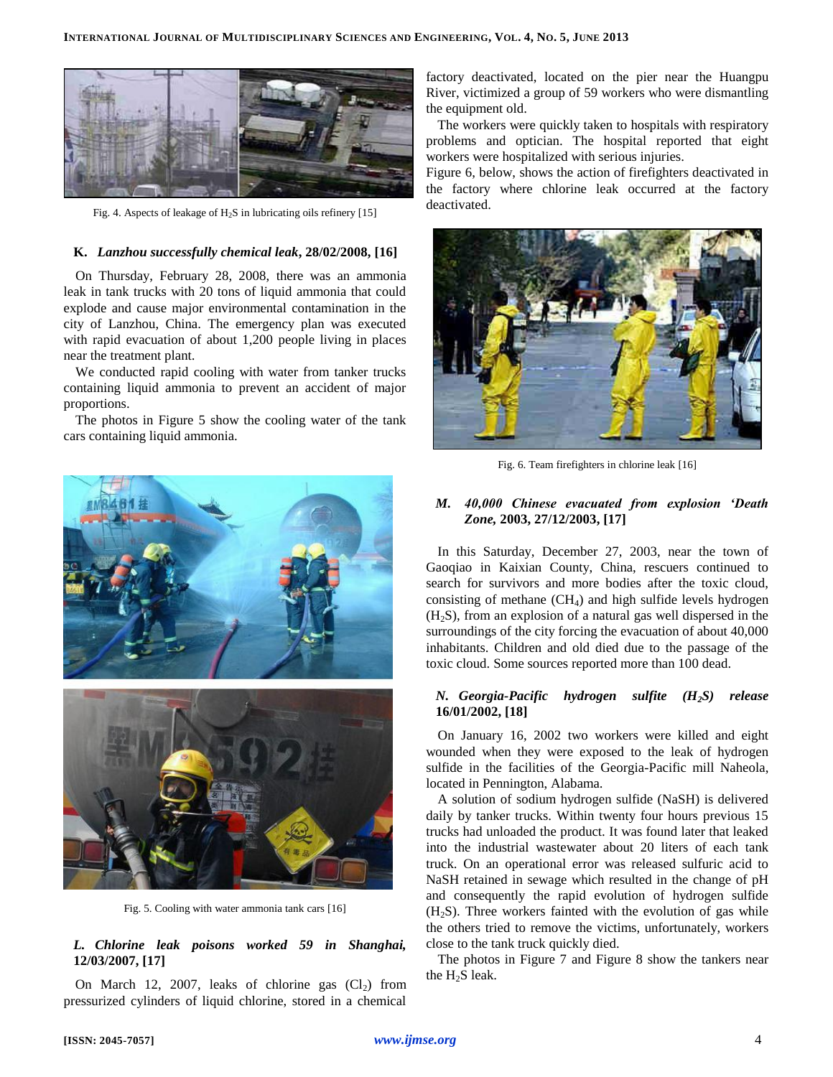

Fig. 4. Aspects of leakage of H2S in lubricating oils refinery [15]

#### **K.** *Lanzhou successfully chemical leak***, 28/02/2008, [16]**

On Thursday, February 28, 2008, there was an ammonia leak in tank trucks with 20 tons of liquid ammonia that could explode and cause major environmental contamination in the city of Lanzhou, China. The emergency plan was executed with rapid evacuation of about 1,200 people living in places near the treatment plant.

We conducted rapid cooling with water from tanker trucks containing liquid ammonia to prevent an accident of major proportions.

The photos in Figure 5 show the cooling water of the tank cars containing liquid ammonia.



Fig. 5. Cooling with water ammonia tank cars [16]

# *L. Chlorine leak poisons worked 59 in Shanghai,*  **12/03/2007, [17]**

On March 12, 2007, leaks of chlorine gas  $(Cl<sub>2</sub>)$  from pressurized cylinders of liquid chlorine, stored in a chemical

factory deactivated, located on the pier near the Huangpu River, victimized a group of 59 workers who were dismantling the equipment old.

The workers were quickly taken to hospitals with respiratory problems and optician. The hospital reported that eight workers were hospitalized with serious injuries.

Figure 6, below, shows the action of firefighters deactivated in the factory where chlorine leak occurred at the factory deactivated.



Fig. 6. Team firefighters in chlorine leak [16]

# *M. 40,000 Chinese evacuated from explosion 'Death Zone,* **2003, 27/12/2003, [17]**

In this Saturday, December 27, 2003, near the town of Gaoqiao in Kaixian County, China, rescuers continued to search for survivors and more bodies after the toxic cloud, consisting of methane  $(CH<sub>4</sub>)$  and high sulfide levels hydrogen  $(H<sub>2</sub>S)$ , from an explosion of a natural gas well dispersed in the surroundings of the city forcing the evacuation of about 40,000 inhabitants. Children and old died due to the passage of the toxic cloud. Some sources reported more than 100 dead.

## *N. Georgia-Pacific hydrogen sulfite (H2S) release*  **16/01/2002, [18]**

On January 16, 2002 two workers were killed and eight wounded when they were exposed to the leak of hydrogen sulfide in the facilities of the Georgia-Pacific mill Naheola, located in Pennington, Alabama.

A solution of sodium hydrogen sulfide (NaSH) is delivered daily by tanker trucks. Within twenty four hours previous 15 trucks had unloaded the product. It was found later that leaked into the industrial wastewater about 20 liters of each tank truck. On an operational error was released sulfuric acid to NaSH retained in sewage which resulted in the change of pH and consequently the rapid evolution of hydrogen sulfide  $(H<sub>2</sub>S)$ . Three workers fainted with the evolution of gas while the others tried to remove the victims, unfortunately, workers close to the tank truck quickly died.

The photos in Figure 7 and Figure 8 show the tankers near the  $H_2S$  leak.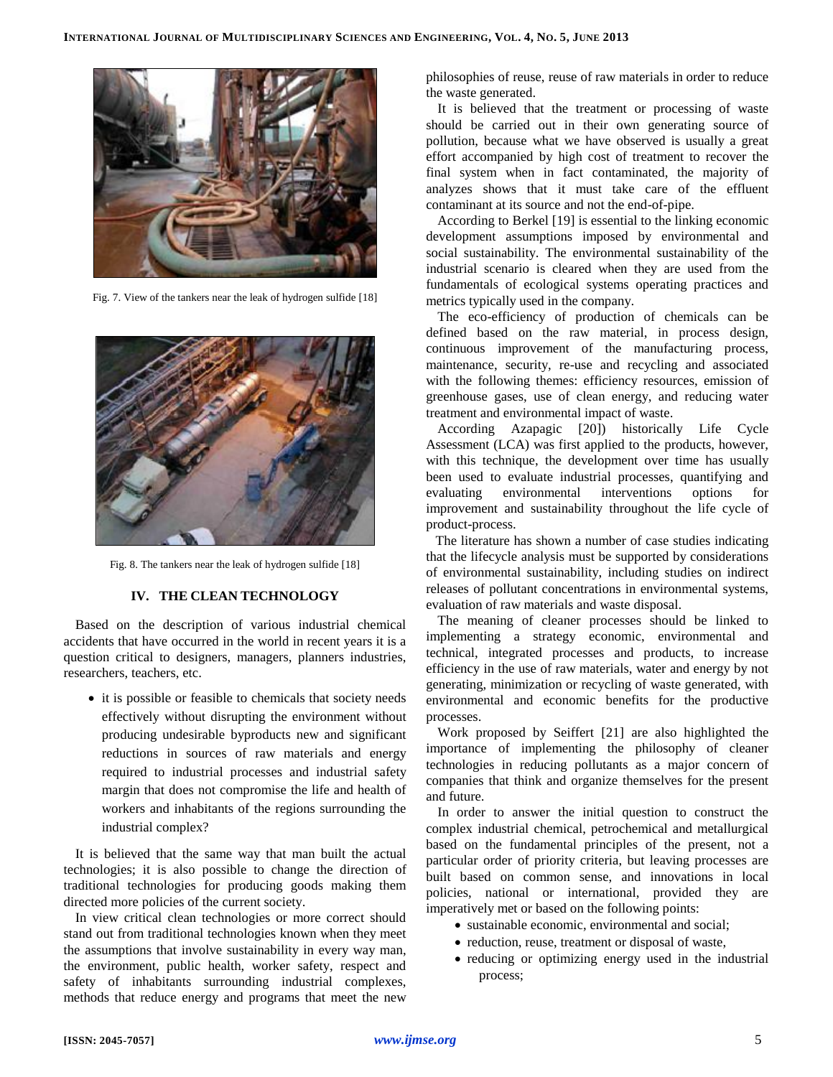

Fig. 7. View of the tankers near the leak of hydrogen sulfide [18]



Fig. 8. The tankers near the leak of hydrogen sulfide [18]

### **IV. THE CLEAN TECHNOLOGY**

Based on the description of various industrial chemical accidents that have occurred in the world in recent years it is a question critical to designers, managers, planners industries, researchers, teachers, etc.

• it is possible or feasible to chemicals that society needs effectively without disrupting the environment without producing undesirable byproducts new and significant reductions in sources of raw materials and energy required to industrial processes and industrial safety margin that does not compromise the life and health of workers and inhabitants of the regions surrounding the industrial complex?

It is believed that the same way that man built the actual technologies; it is also possible to change the direction of traditional technologies for producing goods making them directed more policies of the current society.

In view critical clean technologies or more correct should stand out from traditional technologies known when they meet the assumptions that involve sustainability in every way man, the environment, public health, worker safety, respect and safety of inhabitants surrounding industrial complexes, methods that reduce energy and programs that meet the new philosophies of reuse, reuse of raw materials in order to reduce the waste generated.

It is believed that the treatment or processing of waste should be carried out in their own generating source of pollution, because what we have observed is usually a great effort accompanied by high cost of treatment to recover the final system when in fact contaminated, the majority of analyzes shows that it must take care of the effluent contaminant at its source and not the end-of-pipe.

According to Berkel [19] is essential to the linking economic development assumptions imposed by environmental and social sustainability. The environmental sustainability of the industrial scenario is cleared when they are used from the fundamentals of ecological systems operating practices and metrics typically used in the company.

The eco-efficiency of production of chemicals can be defined based on the raw material, in process design, continuous improvement of the manufacturing process, maintenance, security, re-use and recycling and associated with the following themes: efficiency resources, emission of greenhouse gases, use of clean energy, and reducing water treatment and environmental impact of waste.

According Azapagic [20]) historically Life Cycle Assessment (LCA) was first applied to the products, however, with this technique, the development over time has usually been used to evaluate industrial processes, quantifying and evaluating environmental interventions options for improvement and sustainability throughout the life cycle of product-process.

The literature has shown a number of case studies indicating that the lifecycle analysis must be supported by considerations of environmental sustainability, including studies on indirect releases of pollutant concentrations in environmental systems, evaluation of raw materials and waste disposal.

The meaning of cleaner processes should be linked to implementing a strategy economic, environmental and technical, integrated processes and products, to increase efficiency in the use of raw materials, water and energy by not generating, minimization or recycling of waste generated, with environmental and economic benefits for the productive processes.

Work proposed by Seiffert [21] are also highlighted the importance of implementing the philosophy of cleaner technologies in reducing pollutants as a major concern of companies that think and organize themselves for the present and future.

In order to answer the initial question to construct the complex industrial chemical, petrochemical and metallurgical based on the fundamental principles of the present, not a particular order of priority criteria, but leaving processes are built based on common sense, and innovations in local policies, national or international, provided they are imperatively met or based on the following points:

- sustainable economic, environmental and social;
- reduction, reuse, treatment or disposal of waste,
- reducing or optimizing energy used in the industrial process;